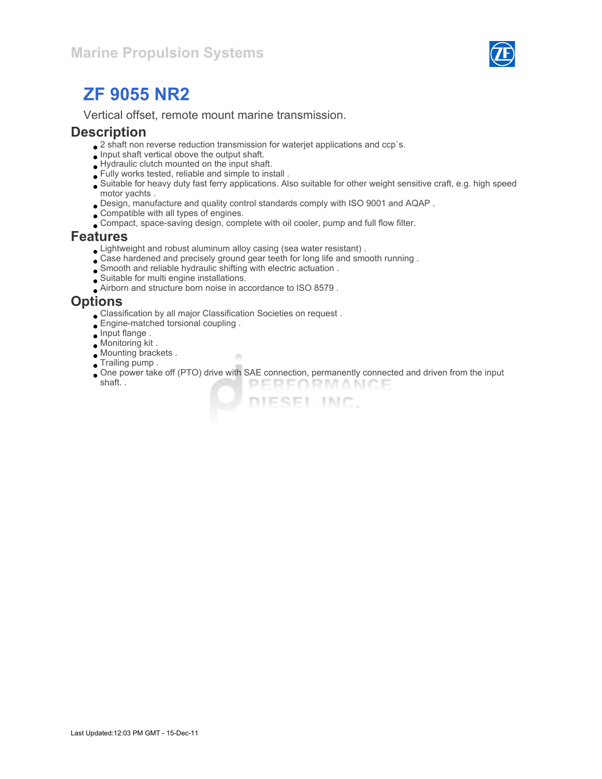

## ZF 9055 NR2

Vertical offset, remote mount marine transmission.

### **Description**

- $\bullet$  2 shaft non reverse reduction transmission for waterjet applications and ccp`s.
- $\bullet$  Input shaft vertical obove the output shaft.
- Hydraulic clutch mounted on the input shaft.
- Fully works tested, reliable and simple to install .
- Suitable for heavy duty fast ferry applications. Also suitable for other weight sensitive craft, e.g. high speed motor yachts .
- Design, manufacture and quality control standards comply with ISO 9001 and AQAP .
- Compatible with all types of engines.
- Compact, space-saving design, complete with oil cooler, pump and full flow filter.

### Features

Lightweight and robust aluminum alloy casing (sea water resistant) .

×

- Case hardened and precisely ground gear teeth for long life and smooth running .
- Smooth and reliable hydraulic shifting with electric actuation .
- Suitable for multi engine installations.
- Airborn and structure born noise in accordance to ISO 8579 .

### **Options**

- Classification by all major Classification Societies on request .
- Engine-matched torsional coupling .
- $\bullet$  Input flange.
- Monitoring kit .
- Mounting brackets .
- **Trailing pump.**
- One power take off (PTO) drive with SAE connection, permanently connected and driven from the input shaft. . PERFORMANCE

DIESEL INC.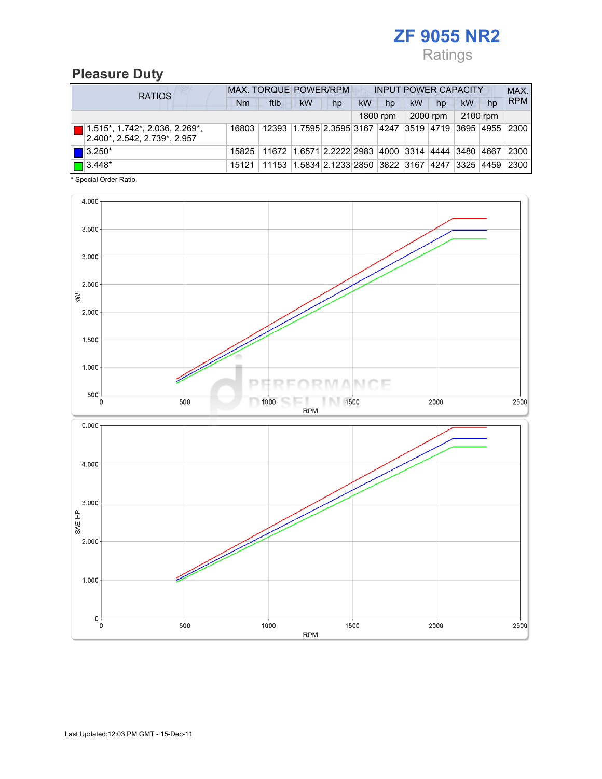## ZF 9055 NR2 Ratings

## Pleasure Duty

| <b>RATIOS</b> |                                                                       | <b>MAX. TORQUE POWER/RPM</b><br><b>INPUT POWER CAPACITY</b> |                                                                   |                                                        |    |           |          |    |          |          |    | MAX.       |
|---------------|-----------------------------------------------------------------------|-------------------------------------------------------------|-------------------------------------------------------------------|--------------------------------------------------------|----|-----------|----------|----|----------|----------|----|------------|
|               |                                                                       | Nm                                                          | ftlb                                                              | <b>kW</b>                                              | hp | <b>kW</b> | hp       | kW | hp       | kW       | hp | <b>RPM</b> |
|               |                                                                       |                                                             |                                                                   |                                                        |    |           | 1800 rpm |    | 2000 rpm | 2100 rpm |    |            |
|               | $\Box$ 1.515*, 1.742*, 2.036, 2.269*,<br>2.400*, 2.542, 2.739*, 2.957 | 16803                                                       |                                                                   | 12393 1.7595 2.3595 3167 4247 3519 4719 3695 4955 2300 |    |           |          |    |          |          |    |            |
|               | $\vert$   3.250*                                                      | 15825                                                       | 11672 1.6571 2.2222 2983 4000 3314 4444 3480 4667                 |                                                        |    |           |          |    |          |          |    | 2300       |
|               | $\boxed{\Box}$ 3.448*                                                 | 15121                                                       | 11153   1.5834   2.1233   2850   3822   3167   4247   3325   4459 |                                                        |    |           |          |    |          |          |    | 2300       |

\* Special Order Ratio.

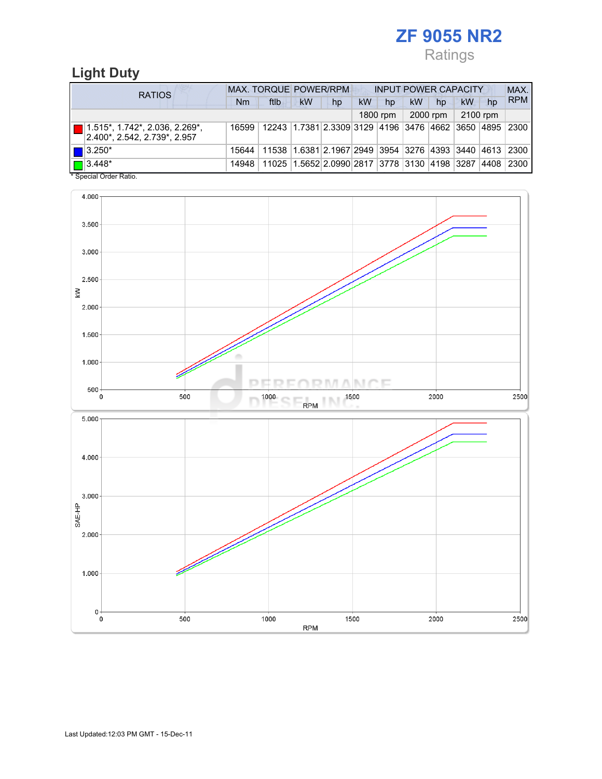## ZF 9055 NR2 Ratings

## Light Duty

| <b>RATIOS</b>                                                              | <b>MAX. TORQUE POWER/RPM</b> |                                                        |           |                                                        |           | <b>INPUT POWER CAPACITY</b> |           |          |          |    |             |
|----------------------------------------------------------------------------|------------------------------|--------------------------------------------------------|-----------|--------------------------------------------------------|-----------|-----------------------------|-----------|----------|----------|----|-------------|
|                                                                            | Nm                           | ftlb                                                   | <b>kW</b> | hp                                                     | <b>kW</b> | hp                          | <b>kW</b> | hp       | kW       | hp | <b>RPM</b>  |
|                                                                            |                              |                                                        |           |                                                        |           | 1800 rpm                    |           | 2000 rpm | 2100 rpm |    |             |
| $\boxed{ }$ 1.515*, 1.742*, 2.036, 2.269*,<br>2.400*, 2.542, 2.739*, 2.957 | 16599                        | 12243 1.7381 2.3309 3129 4196 3476 4662 3650 4895 2300 |           |                                                        |           |                             |           |          |          |    |             |
| $\blacksquare$ 3.250*                                                      | 15644                        |                                                        |           | 11538 1.6381 2.1967 2949 3954 3276 4393 3440 4613 2300 |           |                             |           |          |          |    |             |
| $\boxed{\Box}$ 3.448*<br>$*$ Consider Order Detter                         | 14948                        |                                                        |           | 11025 1.5652 2.0990 2817 3778 3130 4198 3287           |           |                             |           |          |          |    | 4408   2300 |

Special Order Ratio.

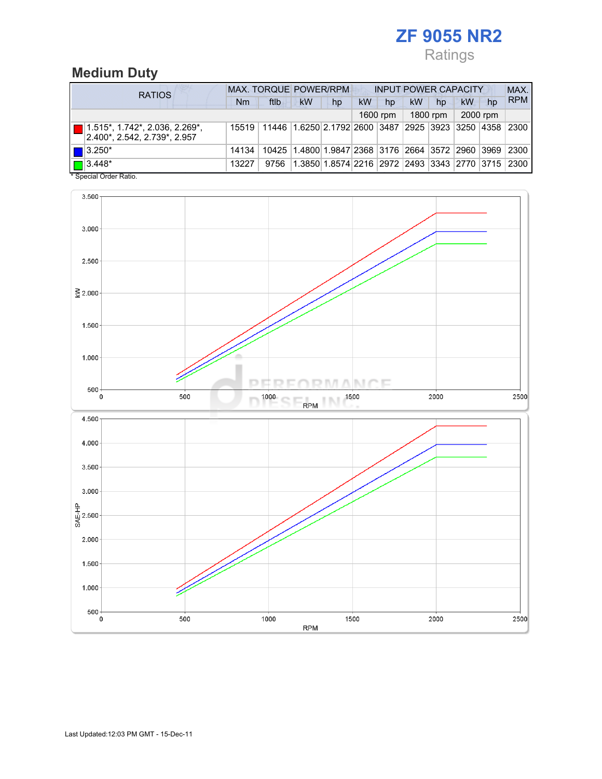## ZF 9055 NR2 Ratings

# Medium Duty

| <b>RATIOS</b>                                                         | MAX. TORQUE POWER/RPM |                                                              |                                                        |    | <b>INPUT POWER CAPACITY</b> |          |    |          |          |    | MAX.       |
|-----------------------------------------------------------------------|-----------------------|--------------------------------------------------------------|--------------------------------------------------------|----|-----------------------------|----------|----|----------|----------|----|------------|
|                                                                       | Nm                    | ftlb                                                         | <b>kW</b>                                              | hp | <b>kW</b>                   | hp       | kW | hp       | kW       | hp | <b>RPM</b> |
|                                                                       |                       |                                                              |                                                        |    |                             | 1600 rpm |    | 1800 rpm | 2000 rpm |    |            |
| $\Box$ 1.515*, 1.742*, 2.036, 2.269*,<br>2.400*, 2.542, 2.739*, 2.957 |                       | 15519 11446 1.6250 2.1792 2600 3487 2925 3923 3250 4358 2300 |                                                        |    |                             |          |    |          |          |    |            |
| $\blacksquare$ 3.250*                                                 | 14134                 |                                                              | 10425 1.4800 1.9847 2368 3176 2664 3572 2960 3969 2300 |    |                             |          |    |          |          |    |            |
| $\boxed{\blacksquare}$ 3.448*<br>$*$ Consider Codes Definition        | 13227                 | 9756                                                         | 1.3850 1.8574 2216  2972  2493  3343  2770  3715  2300 |    |                             |          |    |          |          |    |            |

Special Order Ratio.

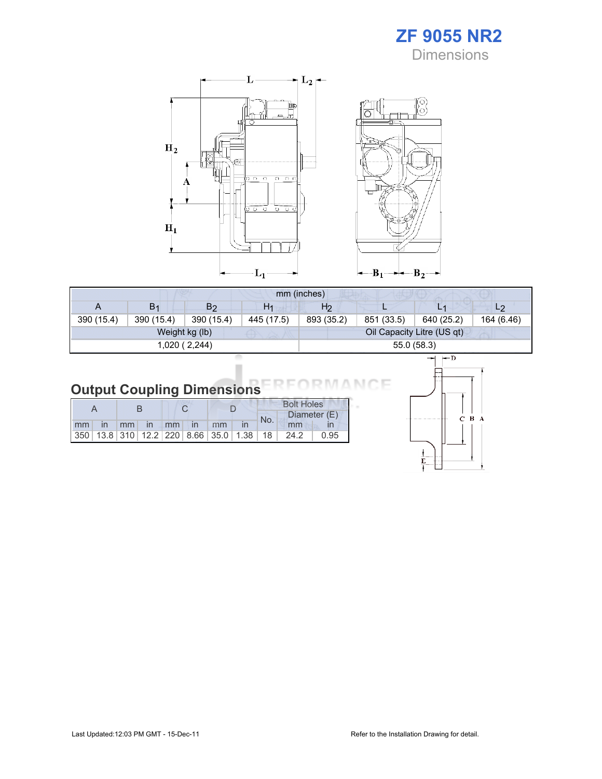



|            | mm (inches)    |                |                |                |            |                            |                |  |  |  |
|------------|----------------|----------------|----------------|----------------|------------|----------------------------|----------------|--|--|--|
| A          | B <sub>1</sub> | B <sub>2</sub> | H <sub>1</sub> | H <sub>2</sub> |            |                            | L <sub>2</sub> |  |  |  |
| 390 (15.4) | 390 (15.4)     | 390 (15.4)     | 445 (17.5)     | 893 (35.2)     | 851 (33.5) | 640 (25.2)                 | 164 (6.46)     |  |  |  |
|            |                | Weight kg (lb) |                |                |            | Oil Capacity Litre (US qt) |                |  |  |  |
|            |                | 1,020 (2,244)  |                | 55.0 (58.3)    |            |                            |                |  |  |  |

#### Output Coupling Dimensions N.

|  |  |  |                      |  |     | <b>Bolt Holes</b>                               |      |  |  |  |
|--|--|--|----------------------|--|-----|-------------------------------------------------|------|--|--|--|
|  |  |  |                      |  | No. | Diameter (E)                                    |      |  |  |  |
|  |  |  | mm in mm in mm in mm |  |     | mm                                              |      |  |  |  |
|  |  |  |                      |  |     | $ 350 13.8 310 12.2 220 8.66 35.0 1.38 18 24.2$ | 0.95 |  |  |  |



Е